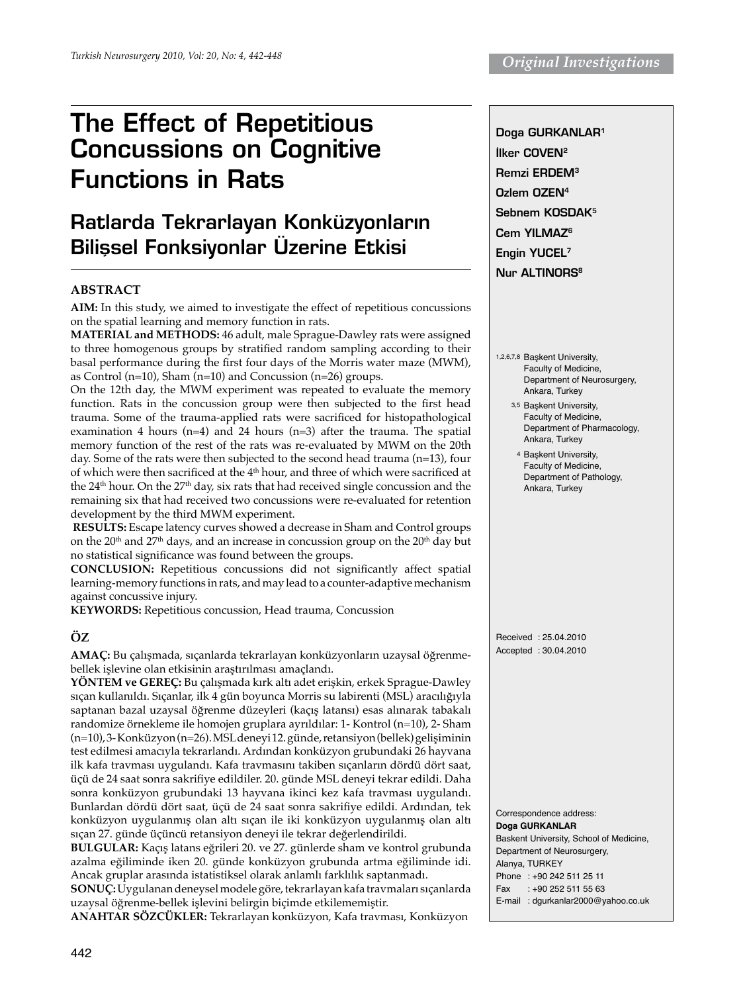# The Effect of Repetitious Concussions on Cognitive Functions in Rats

## Ratlarda Tekrarlayan Konküzyonların Bilissel Fonksiyonlar Üzerine Etkisi

## **ABSTRACT**

**Aim:** In this study, we aimed to investigate the effect of repetitious concussions on the spatial learning and memory function in rats.

**Material and Methods:** 46 adult, male Sprague-Dawley rats were assigned to three homogenous groups by stratified random sampling according to their basal performance during the first four days of the Morris water maze (MWM), as Control (n=10), Sham (n=10) and Concussion (n=26) groups.

On the 12th day, the MWM experiment was repeated to evaluate the memory function. Rats in the concussion group were then subjected to the first head trauma. Some of the trauma-applied rats were sacrificed for histopathological examination 4 hours (n=4) and 24 hours (n=3) after the trauma. The spatial memory function of the rest of the rats was re-evaluated by MWM on the 20th day. Some of the rats were then subjected to the second head trauma (n=13), four of which were then sacrificed at the 4<sup>th</sup> hour, and three of which were sacrificed at the 24<sup>th</sup> hour. On the 27<sup>th</sup> day, six rats that had received single concussion and the remaining six that had received two concussions were re-evaluated for retention development by the third MWM experiment.

**Results:** Escape latency curves showed a decrease in Sham and Control groups on the  $20<sup>th</sup>$  and  $27<sup>th</sup>$  days, and an increase in concussion group on the  $20<sup>th</sup>$  day but no statistical significance was found between the groups.

**Conclusion:** Repetitious concussions did not significantly affect spatial learning-memory functions in rats, and may lead to a counter-adaptive mechanism against concussive injury.

**Keywords:** Repetitious concussion, Head trauma, Concussion

## **ÖZ**

**Amaç:** Bu çalışmada, sıçanlarda tekrarlayan konküzyonların uzaysal öğrenmebellek işlevine olan etkisinin araştırılması amaçlandı.

**Yöntem ve Gereç:** Bu çalışmada kırk altı adet erişkin, erkek Sprague-Dawley sıçan kullanıldı. Sıçanlar, ilk 4 gün boyunca Morris su labirenti (MSL) aracılığıyla saptanan bazal uzaysal öğrenme düzeyleri (kaçış latansı) esas alınarak tabakalı randomize örnekleme ile homojen gruplara ayrıldılar: 1- Kontrol (n=10), 2- Sham (n=10), 3- Konküzyon (n=26). MSL deneyi 12. günde, retansiyon (bellek) gelişiminin test edilmesi amacıyla tekrarlandı. Ardından konküzyon grubundaki 26 hayvana ilk kafa travması uygulandı. Kafa travmasını takiben sıçanların dördü dört saat, üçü de 24 saat sonra sakrifiye edildiler. 20. günde MSL deneyi tekrar edildi. Daha sonra konküzyon grubundaki 13 hayvana ikinci kez kafa travması uygulandı. Bunlardan dördü dört saat, üçü de 24 saat sonra sakrifiye edildi. Ardından, tek konküzyon uygulanmış olan altı sıçan ile iki konküzyon uygulanmış olan altı sıçan 27. günde üçüncü retansiyon deneyi ile tekrar değerlendirildi.

**Bulgular:** Kaçış latans eğrileri 20. ve 27. günlerde sham ve kontrol grubunda azalma eğiliminde iken 20. günde konküzyon grubunda artma eğiliminde idi. Ancak gruplar arasında istatistiksel olarak anlamlı farklılık saptanmadı.

**Sonuç:** Uygulanan deneysel modele göre, tekrarlayan kafa travmaları sıçanlarda uzaysal öğrenme-bellek işlevini belirgin biçimde etkilememiştir.

**ANAHTAR SÖZCÜKLER:** Tekrarlayan konküzyon, Kafa travması, Konküzyon

Doga GURKANLAR1 İlker COVEN<sup>2</sup> Remzi ERDEM3 Ozlem OZEN4 Sebnem KOSDAK5 Cem YILMAZ<sup>6</sup> Engin YUCEL7 Nur ALTINORS<sup>8</sup>

- 1,2,6,7,8 Başkent University, Faculty of Medicine, Department of Neurosurgery, Ankara, Turkey
	- 3,5 Başkent University, Faculty of Medicine, Department of Pharmacology, Ankara, Turkey
	- 4 Başkent University, Faculty of Medicine, Department of Pathology, Ankara, Turkey

Received : 25.04.2010 Accepted : 30.04.2010

Correspondence address: **Doga GUrkanlar**  Baskent University, School of Medicine, Department of Neurosurgery, Alanya, TURKEY Phone : +90 242 511 25 11 Fax : +90 252 511 55 63 E-mail : dgurkanlar2000@yahoo.co.uk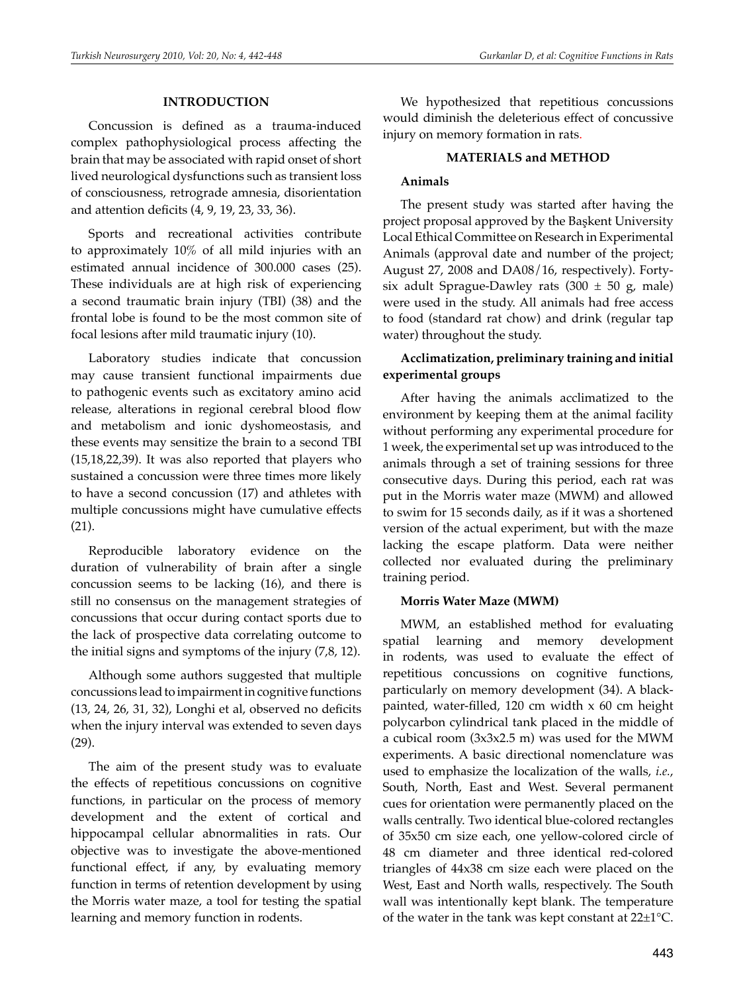#### **INTRODUCTION**

Concussion is defined as a trauma-induced complex pathophysiological process affecting the brain that may be associated with rapid onset of short lived neurological dysfunctions such as transient loss of consciousness, retrograde amnesia, disorientation and attention deficits (4, 9, 19, 23, 33, 36).

Sports and recreational activities contribute to approximately 10% of all mild injuries with an estimated annual incidence of 300.000 cases (25). These individuals are at high risk of experiencing a second traumatic brain injury (TBI) (38) and the frontal lobe is found to be the most common site of focal lesions after mild traumatic injury (10).

Laboratory studies indicate that concussion may cause transient functional impairments due to pathogenic events such as excitatory amino acid release, alterations in regional cerebral blood flow and metabolism and ionic dyshomeostasis, and these events may sensitize the brain to a second TBI (15,18,22,39). It was also reported that players who sustained a concussion were three times more likely to have a second concussion (17) and athletes with multiple concussions might have cumulative effects (21).

Reproducible laboratory evidence on the duration of vulnerability of brain after a single concussion seems to be lacking (16), and there is still no consensus on the management strategies of concussions that occur during contact sports due to the lack of prospective data correlating outcome to the initial signs and symptoms of the injury (7,8, 12).

Although some authors suggested that multiple concussions lead to impairment in cognitive functions (13, 24, 26, 31, 32), Longhi et al, observed no deficits when the injury interval was extended to seven days (29).

The aim of the present study was to evaluate the effects of repetitious concussions on cognitive functions, in particular on the process of memory development and the extent of cortical and hippocampal cellular abnormalities in rats. Our objective was to investigate the above-mentioned functional effect, if any, by evaluating memory function in terms of retention development by using the Morris water maze, a tool for testing the spatial learning and memory function in rodents.

We hypothesized that repetitious concussions would diminish the deleterious effect of concussive injury on memory formation in rats.

#### **MATERIALS and METHOD**

### **Animals**

The present study was started after having the project proposal approved by the Başkent University Local Ethical Committee on Research in Experimental Animals (approval date and number of the project; August 27, 2008 and DA08/16, respectively). Fortysix adult Sprague-Dawley rats  $(300 \pm 50 \text{ g})$  male) were used in the study. All animals had free access to food (standard rat chow) and drink (regular tap water) throughout the study.

## **Acclimatization, preliminary training and initial experimental groups**

After having the animals acclimatized to the environment by keeping them at the animal facility without performing any experimental procedure for 1 week, the experimental set up was introduced to the animals through a set of training sessions for three consecutive days. During this period, each rat was put in the Morris water maze (MWM) and allowed to swim for 15 seconds daily, as if it was a shortened version of the actual experiment, but with the maze lacking the escape platform. Data were neither collected nor evaluated during the preliminary training period.

## **Morris Water Maze (MWM)**

MWM, an established method for evaluating spatial learning and memory development in rodents, was used to evaluate the effect of repetitious concussions on cognitive functions, particularly on memory development (34). A blackpainted, water-filled, 120 cm width x 60 cm height polycarbon cylindrical tank placed in the middle of a cubical room (3x3x2.5 m) was used for the MWM experiments. A basic directional nomenclature was used to emphasize the localization of the walls, *i.e.*, South, North, East and West. Several permanent cues for orientation were permanently placed on the walls centrally. Two identical blue-colored rectangles of 35x50 cm size each, one yellow-colored circle of 48 cm diameter and three identical red-colored triangles of 44x38 cm size each were placed on the West, East and North walls, respectively. The South wall was intentionally kept blank. The temperature of the water in the tank was kept constant at 22±1°C.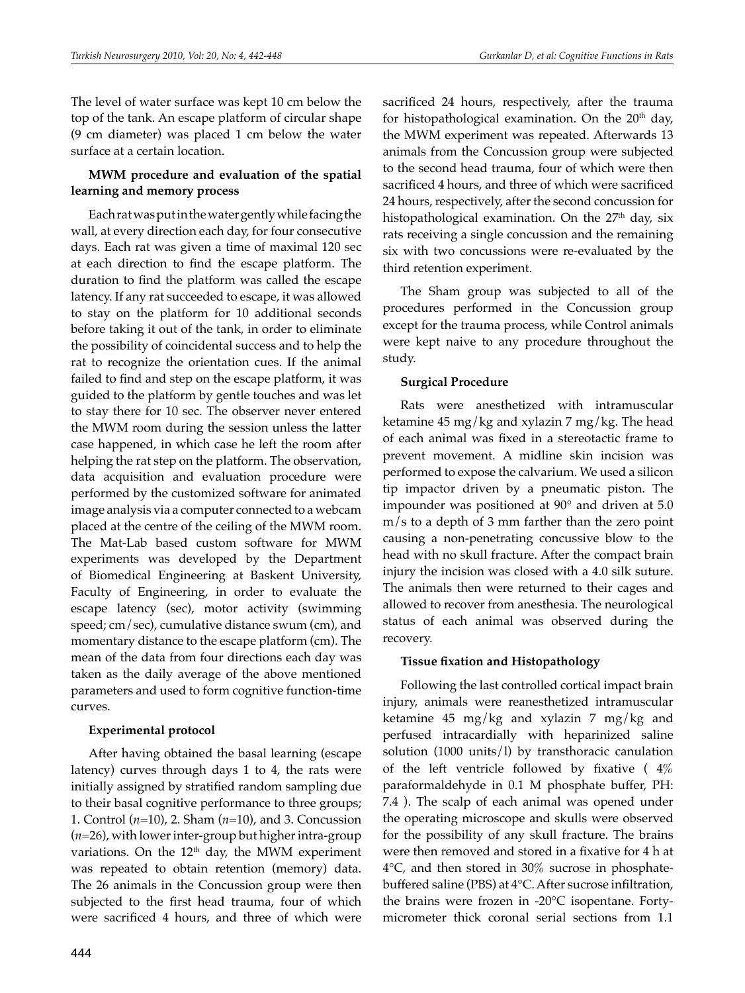The level of water surface was kept 10 cm below the top of the tank. An escape platform of circular shape (9 cm diameter) was placed 1 cm below the water surface at a certain location.

## **MWM procedure and evaluation of the spatial learning and memory process**

Each rat was put in the water gently while facing the wall, at every direction each day, for four consecutive days. Each rat was given a time of maximal 120 sec at each direction to find the escape platform. The duration to find the platform was called the escape latency. If any rat succeeded to escape, it was allowed to stay on the platform for 10 additional seconds before taking it out of the tank, in order to eliminate the possibility of coincidental success and to help the rat to recognize the orientation cues. If the animal failed to find and step on the escape platform, it was guided to the platform by gentle touches and was let to stay there for 10 sec. The observer never entered the MWM room during the session unless the latter case happened, in which case he left the room after helping the rat step on the platform. The observation, data acquisition and evaluation procedure were performed by the customized software for animated image analysis via a computer connected to a webcam placed at the centre of the ceiling of the MWM room. The Mat-Lab based custom software for MWM experiments was developed by the Department of Biomedical Engineering at Baskent University, Faculty of Engineering, in order to evaluate the escape latency (sec), motor activity (swimming speed; cm/sec), cumulative distance swum (cm), and momentary distance to the escape platform (cm). The mean of the data from four directions each day was taken as the daily average of the above mentioned parameters and used to form cognitive function-time curves.

## **Experimental protocol**

After having obtained the basal learning (escape latency) curves through days 1 to 4, the rats were initially assigned by stratified random sampling due to their basal cognitive performance to three groups; 1. Control (*n*=10), 2. Sham (*n*=10), and 3. Concussion (*n*=26), with lower inter-group but higher intra-group variations. On the 12<sup>th</sup> day, the MWM experiment was repeated to obtain retention (memory) data. The 26 animals in the Concussion group were then subjected to the first head trauma, four of which were sacrificed 4 hours, and three of which were sacrificed 24 hours, respectively, after the trauma for histopathological examination. On the  $20<sup>th</sup>$  day, the MWM experiment was repeated. Afterwards 13 animals from the Concussion group were subjected to the second head trauma, four of which were then sacrificed 4 hours, and three of which were sacrificed 24 hours, respectively, after the second concussion for histopathological examination. On the 27<sup>th</sup> day, six rats receiving a single concussion and the remaining six with two concussions were re-evaluated by the third retention experiment.

The Sham group was subjected to all of the procedures performed in the Concussion group except for the trauma process, while Control animals were kept naive to any procedure throughout the study.

## **Surgical Procedure**

Rats were anesthetized with intramuscular ketamine 45 mg/kg and xylazin 7 mg/kg. The head of each animal was fixed in a stereotactic frame to prevent movement. A midline skin incision was performed to expose the calvarium. We used a silicon tip impactor driven by a pneumatic piston. The impounder was positioned at 90° and driven at 5.0 m/s to a depth of 3 mm farther than the zero point causing a non-penetrating concussive blow to the head with no skull fracture. After the compact brain injury the incision was closed with a 4.0 silk suture. The animals then were returned to their cages and allowed to recover from anesthesia. The neurological status of each animal was observed during the recovery.

## **Tissue fixation and Histopathology**

Following the last controlled cortical impact brain injury, animals were reanesthetized intramuscular ketamine 45 mg/kg and xylazin 7 mg/kg and perfused intracardially with heparinized saline solution (1000 units/l) by transthoracic canulation of the left ventricle followed by fixative ( $4\%$ ) paraformaldehyde in 0.1 M phosphate buffer, PH: 7.4 ). The scalp of each animal was opened under the operating microscope and skulls were observed for the possibility of any skull fracture. The brains were then removed and stored in a fixative for 4 h at 4°C, and then stored in 30% sucrose in phosphatebuffered saline (PBS) at 4°C. After sucrose infiltration, the brains were frozen in -20°C isopentane. Fortymicrometer thick coronal serial sections from 1.1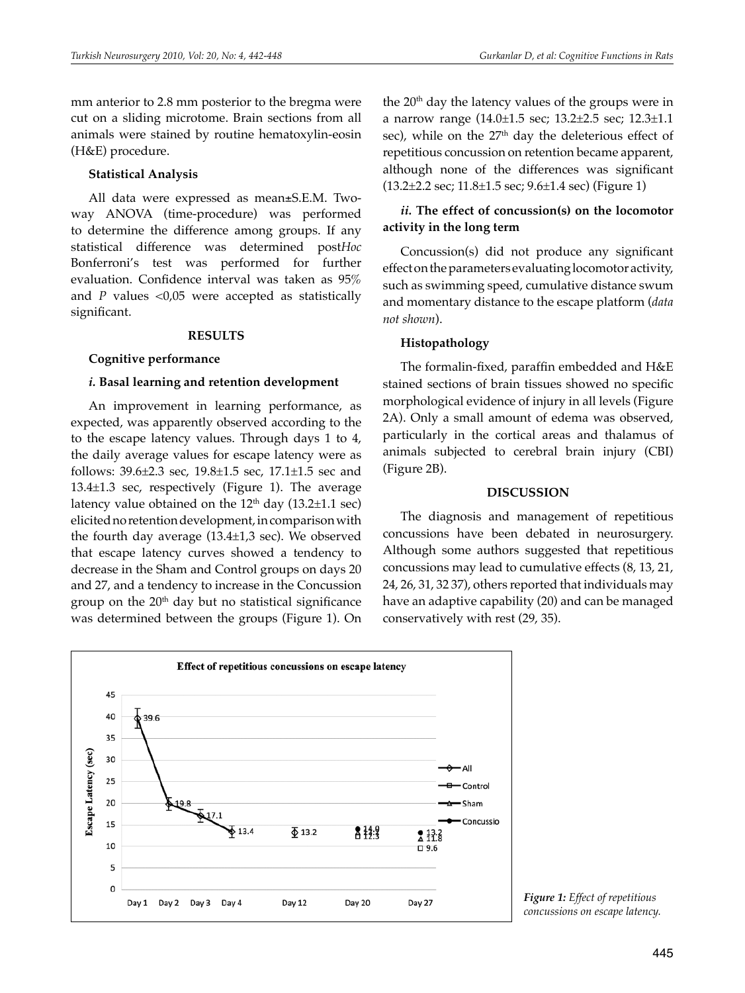mm anterior to 2.8 mm posterior to the bregma were cut on a sliding microtome. Brain sections from all animals were stained by routine hematoxylin-eosin (H&E) procedure.

#### **Statistical Analysis**

All data were expressed as mean±S.E.M. Twoway ANOVA (time-procedure) was performed to determine the difference among groups. If any statistical difference was determined post*Hoc*  Bonferroni's test was performed for further evaluation. Confidence interval was taken as 95% and  $P$  values <0,05 were accepted as statistically significant.

#### **RESULTS**

#### **Cognitive performance**

#### *i.* **Basal learning and retention development**

An improvement in learning performance, as expected, was apparently observed according to the to the escape latency values. Through days 1 to 4, the daily average values for escape latency were as follows: 39.6±2.3 sec, 19.8±1.5 sec, 17.1±1.5 sec and 13.4±1.3 sec, respectively (Figure 1). The average latency value obtained on the  $12<sup>th</sup>$  day (13.2 $\pm$ 1.1 sec) elicited no retention development, in comparison with the fourth day average (13.4±1,3 sec). We observed that escape latency curves showed a tendency to decrease in the Sham and Control groups on days 20 and 27, and a tendency to increase in the Concussion group on the  $20<sup>th</sup>$  day but no statistical significance was determined between the groups (Figure 1). On

the  $20<sup>th</sup>$  day the latency values of the groups were in a narrow range (14.0±1.5 sec; 13.2±2.5 sec; 12.3±1.1 sec), while on the  $27<sup>th</sup>$  day the deleterious effect of repetitious concussion on retention became apparent, although none of the differences was significant (13.2±2.2 sec; 11.8±1.5 sec; 9.6±1.4 sec) (Figure 1)

## *ii.* **The effect of concussion(s) on the locomotor activity in the long term**

Concussion(s) did not produce any significant effect on the parameters evaluating locomotor activity, such as swimming speed, cumulative distance swum and momentary distance to the escape platform (*data not shown*).

#### **Histopathology**

The formalin-fixed, paraffin embedded and H&E stained sections of brain tissues showed no specific morphological evidence of injury in all levels (Figure 2A). Only a small amount of edema was observed, particularly in the cortical areas and thalamus of animals subjected to cerebral brain injury (CBI) (Figure 2B).

#### **DISCUSSION**

The diagnosis and management of repetitious concussions have been debated in neurosurgery. Although some authors suggested that repetitious concussions may lead to cumulative effects (8, 13, 21, 24, 26, 31, 32 37), others reported that individuals may have an adaptive capability (20) and can be managed conservatively with rest (29, 35).



*Figure 1: Effect of repetitious concussions on escape latency.*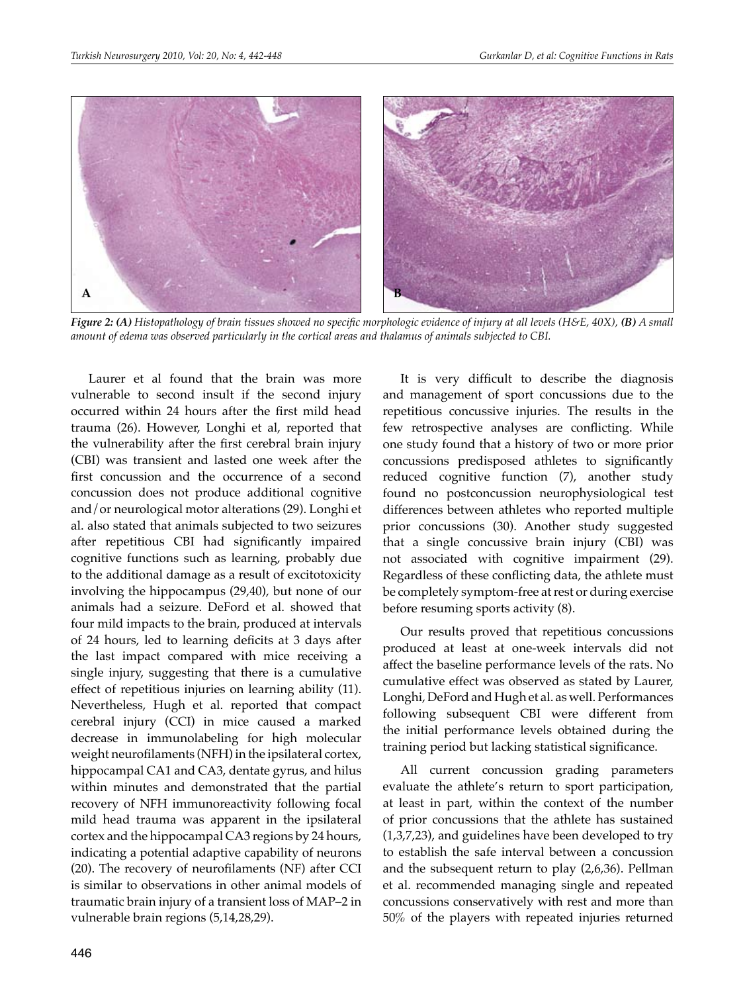

*Figure 2: (A) Histopathology of brain tissues showed no specific morphologic evidence of injury at all levels (H&E, 40X), (B) A small amount of edema was observed particularly in the cortical areas and thalamus of animals subjected to CBI.*

Laurer et al found that the brain was more vulnerable to second insult if the second injury occurred within 24 hours after the first mild head trauma (26). However, Longhi et al, reported that the vulnerability after the first cerebral brain injury (CBI) was transient and lasted one week after the first concussion and the occurrence of a second concussion does not produce additional cognitive and/or neurological motor alterations (29). Longhi et al. also stated that animals subjected to two seizures after repetitious CBI had significantly impaired cognitive functions such as learning, probably due to the additional damage as a result of excitotoxicity involving the hippocampus (29,40), but none of our animals had a seizure. DeFord et al. showed that four mild impacts to the brain, produced at intervals of 24 hours, led to learning deficits at 3 days after the last impact compared with mice receiving a single injury, suggesting that there is a cumulative effect of repetitious injuries on learning ability (11). Nevertheless, Hugh et al. reported that compact cerebral injury (CCI) in mice caused a marked decrease in immunolabeling for high molecular weight neurofilaments (NFH) in the ipsilateral cortex, hippocampal CA1 and CA3, dentate gyrus, and hilus within minutes and demonstrated that the partial recovery of NFH immunoreactivity following focal mild head trauma was apparent in the ipsilateral cortex and the hippocampal CA3 regions by 24 hours, indicating a potential adaptive capability of neurons (20). The recovery of neurofilaments (NF) after CCI is similar to observations in other animal models of traumatic brain injury of a transient loss of MAP–2 in vulnerable brain regions (5,14,28,29).

It is very difficult to describe the diagnosis and management of sport concussions due to the repetitious concussive injuries. The results in the few retrospective analyses are conflicting. While one study found that a history of two or more prior concussions predisposed athletes to significantly reduced cognitive function (7), another study found no postconcussion neurophysiological test differences between athletes who reported multiple prior concussions (30). Another study suggested that a single concussive brain injury (CBI) was not associated with cognitive impairment (29). Regardless of these conflicting data, the athlete must be completely symptom-free at rest or during exercise before resuming sports activity (8).

Our results proved that repetitious concussions produced at least at one-week intervals did not affect the baseline performance levels of the rats. No cumulative effect was observed as stated by Laurer, Longhi, DeFord and Hugh et al. as well. Performances following subsequent CBI were different from the initial performance levels obtained during the training period but lacking statistical significance.

All current concussion grading parameters evaluate the athlete's return to sport participation, at least in part, within the context of the number of prior concussions that the athlete has sustained (1,3,7,23), and guidelines have been developed to try to establish the safe interval between a concussion and the subsequent return to play (2,6,36). Pellman et al. recommended managing single and repeated concussions conservatively with rest and more than 50% of the players with repeated injuries returned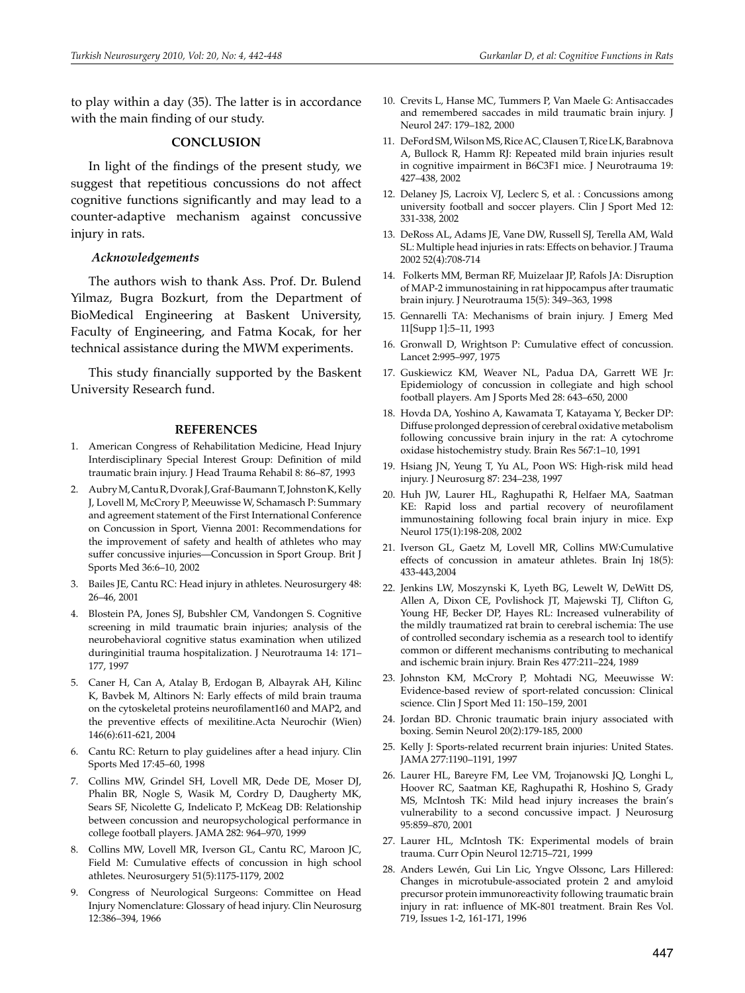to play within a day (35). The latter is in accordance with the main finding of our study.

#### **CONCLUSION**

In light of the findings of the present study, we suggest that repetitious concussions do not affect cognitive functions significantly and may lead to a counter-adaptive mechanism against concussive injury in rats.

#### *Acknowledgements*

The authors wish to thank Ass. Prof. Dr. Bulend Yilmaz, Bugra Bozkurt, from the Department of BioMedical Engineering at Baskent University, Faculty of Engineering, and Fatma Kocak, for her technical assistance during the MWM experiments.

This study financially supported by the Baskent University Research fund.

#### **REFERENCES**

- 1. American Congress of Rehabilitation Medicine, Head Injury Interdisciplinary Special Interest Group: Definition of mild traumatic brain injury. J Head Trauma Rehabil 8: 86–87, 1993
- 2. Aubry M, Cantu R, Dvorak J, Graf-Baumann T, Johnston K, Kelly J, Lovell M, McCrory P, Meeuwisse W, Schamasch P: Summary and agreement statement of the First International Conference on Concussion in Sport, Vienna 2001: Recommendations for the improvement of safety and health of athletes who may suffer concussive injuries—Concussion in Sport Group. Brit J Sports Med 36:6–10, 2002
- 3. Bailes JE, Cantu RC: Head injury in athletes. Neurosurgery 48: 26–46, 2001
- 4. Blostein PA, Jones SJ, Bubshler CM, Vandongen S. Cognitive screening in mild traumatic brain injuries; analysis of the neurobehavioral cognitive status examination when utilized duringinitial trauma hospitalization. J Neurotrauma 14: 171– 177, 1997
- 5. Caner H, Can A, Atalay B, Erdogan B, Albayrak AH, Kilinc K, Bavbek M, Altinors N: Early effects of mild brain trauma on the cytoskeletal proteins neurofilament160 and MAP2, and the preventive effects of mexilitine.Acta Neurochir (Wien) 146(6):611-621, 2004
- 6. Cantu RC: Return to play guidelines after a head injury. Clin Sports Med 17:45–60, 1998
- 7. Collins MW, Grindel SH, Lovell MR, Dede DE, Moser DJ, Phalin BR, Nogle S, Wasik M, Cordry D, Daugherty MK, Sears SF, Nicolette G, Indelicato P, McKeag DB: Relationship between concussion and neuropsychological performance in college football players. JAMA 282: 964–970, 1999
- 8. Collins MW, Lovell MR, Iverson GL, Cantu RC, Maroon JC, Field M: Cumulative effects of concussion in high school athletes. Neurosurgery 51(5):1175-1179, 2002
- 9. Congress of Neurological Surgeons: Committee on Head Injury Nomenclature: Glossary of head injury. Clin Neurosurg 12:386–394, 1966
- 10. Crevits L, Hanse MC, Tummers P, Van Maele G: Antisaccades and remembered saccades in mild traumatic brain injury. J Neurol 247: 179–182, 2000
- 11. DeFord SM, Wilson MS, Rice AC, Clausen T, Rice LK, Barabnova A, Bullock R, Hamm RJ: Repeated mild brain injuries result in cognitive impairment in B6C3F1 mice. J Neurotrauma 19: 427–438, 2002
- 12. Delaney JS, Lacroix VJ, Leclerc S, et al. : Concussions among university football and soccer players. Clin J Sport Med 12: 331-338, 2002
- 13. DeRoss AL, Adams JE, Vane DW, Russell SJ, Terella AM, Wald SL: Multiple head injuries in rats: Effects on behavior. J Trauma 2002 52(4):708-714
- 14. Folkerts MM, Berman RF, Muizelaar JP, Rafols JA: Disruption of MAP-2 immunostaining in rat hippocampus after traumatic brain injury. J Neurotrauma 15(5): 349–363, 1998
- 15. Gennarelli TA: Mechanisms of brain injury. J Emerg Med 11[Supp 1]:5–11, 1993
- 16. Gronwall D, Wrightson P: Cumulative effect of concussion. Lancet 2:995–997, 1975
- 17. Guskiewicz KM, Weaver NL, Padua DA, Garrett WE Jr: Epidemiology of concussion in collegiate and high school football players. Am J Sports Med 28: 643–650, 2000
- 18. Hovda DA, Yoshino A, Kawamata T, Katayama Y, Becker DP: Diffuse prolonged depression of cerebral oxidative metabolism following concussive brain injury in the rat: A cytochrome oxidase histochemistry study. Brain Res 567:1–10, 1991
- 19. Hsiang JN, Yeung T, Yu AL, Poon WS: High-risk mild head injury. J Neurosurg 87: 234–238, 1997
- 20. Huh JW, Laurer HL, Raghupathi R, Helfaer MA, Saatman KE: Rapid loss and partial recovery of neurofilament immunostaining following focal brain injury in mice. Exp Neurol 175(1):198-208, 2002
- 21. Iverson GL, Gaetz M, Lovell MR, Collins MW:Cumulative effects of concussion in amateur athletes. Brain Inj 18(5): 433-443,2004
- 22. Jenkins LW, Moszynski K, Lyeth BG, Lewelt W, DeWitt DS, Allen A, Dixon CE, Povlishock JT, Majewski TJ, Clifton G, Young HF, Becker DP, Hayes RL: Increased vulnerability of the mildly traumatized rat brain to cerebral ischemia: The use of controlled secondary ischemia as a research tool to identify common or different mechanisms contributing to mechanical and ischemic brain injury. Brain Res 477:211–224, 1989
- 23. Johnston KM, McCrory P, Mohtadi NG, Meeuwisse W: Evidence-based review of sport-related concussion: Clinical science. Clin J Sport Med 11: 150–159, 2001
- 24. Jordan BD. Chronic traumatic brain injury associated with boxing. Semin Neurol 20(2):179-185, 2000
- 25. Kelly J: Sports-related recurrent brain injuries: United States. JAMA 277:1190–1191, 1997
- 26. Laurer HL, Bareyre FM, Lee VM, Trojanowski JQ, Longhi L, Hoover RC, Saatman KE, Raghupathi R, Hoshino S, Grady MS, McIntosh TK: Mild head injury increases the brain's vulnerability to a second concussive impact. J Neurosurg 95:859–870, 2001
- 27. Laurer HL, McIntosh TK: Experimental models of brain trauma. Curr Opin Neurol 12:715–721, 1999
- 28. Anders Lewén, Gui Lin Lic, Yngve Olssonc, Lars Hillered: Changes in microtubule-associated protein 2 and amyloid precursor protein immunoreactivity following traumatic brain injury in rat: influence of MK-801 treatment. Brain Res Vol. 719, Issues 1-2, 161-171, 1996